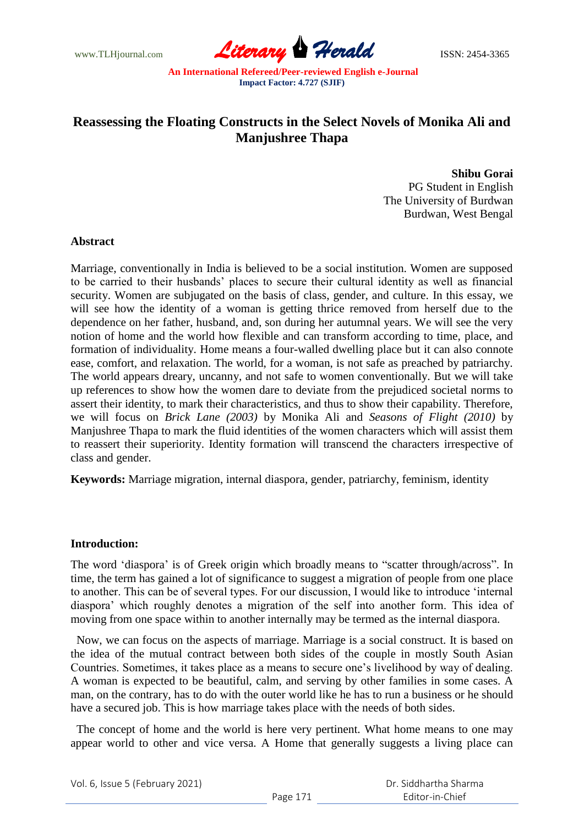www.TLHjournal.com **Literary Herald ISSN: 2454-3365** 

## **Reassessing the Floating Constructs in the Select Novels of Monika Ali and Manjushree Thapa**

**Shibu Gorai**  PG Student in English The University of Burdwan Burdwan, West Bengal

## **Abstract**

Marriage, conventionally in India is believed to be a social institution. Women are supposed to be carried to their husbands" places to secure their cultural identity as well as financial security. Women are subjugated on the basis of class, gender, and culture. In this essay, we will see how the identity of a woman is getting thrice removed from herself due to the dependence on her father, husband, and, son during her autumnal years. We will see the very notion of home and the world how flexible and can transform according to time, place, and formation of individuality. Home means a four-walled dwelling place but it can also connote ease, comfort, and relaxation. The world, for a woman, is not safe as preached by patriarchy. The world appears dreary, uncanny, and not safe to women conventionally. But we will take up references to show how the women dare to deviate from the prejudiced societal norms to assert their identity, to mark their characteristics, and thus to show their capability. Therefore, we will focus on *Brick Lane (2003)* by Monika Ali and *Seasons of Flight (2010)* by Manjushree Thapa to mark the fluid identities of the women characters which will assist them to reassert their superiority. Identity formation will transcend the characters irrespective of class and gender.

**Keywords:** Marriage migration, internal diaspora, gender, patriarchy, feminism, identity

## **Introduction:**

The word "diaspora" is of Greek origin which broadly means to "scatter through/across". In time, the term has gained a lot of significance to suggest a migration of people from one place to another. This can be of several types. For our discussion, I would like to introduce "internal diaspora" which roughly denotes a migration of the self into another form. This idea of moving from one space within to another internally may be termed as the internal diaspora.

 Now, we can focus on the aspects of marriage. Marriage is a social construct. It is based on the idea of the mutual contract between both sides of the couple in mostly South Asian Countries. Sometimes, it takes place as a means to secure one"s livelihood by way of dealing. A woman is expected to be beautiful, calm, and serving by other families in some cases. A man, on the contrary, has to do with the outer world like he has to run a business or he should have a secured job. This is how marriage takes place with the needs of both sides.

 The concept of home and the world is here very pertinent. What home means to one may appear world to other and vice versa. A Home that generally suggests a living place can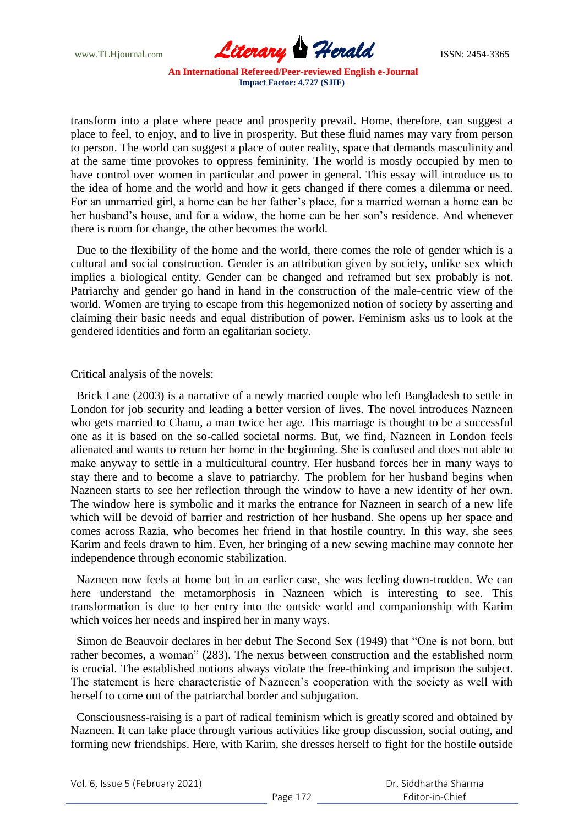www.TLHjournal.com *Literary Herald*ISSN: 2454-3365

transform into a place where peace and prosperity prevail. Home, therefore, can suggest a place to feel, to enjoy, and to live in prosperity. But these fluid names may vary from person to person. The world can suggest a place of outer reality, space that demands masculinity and at the same time provokes to oppress femininity. The world is mostly occupied by men to have control over women in particular and power in general. This essay will introduce us to the idea of home and the world and how it gets changed if there comes a dilemma or need. For an unmarried girl, a home can be her father"s place, for a married woman a home can be her husband"s house, and for a widow, the home can be her son"s residence. And whenever there is room for change, the other becomes the world.

 Due to the flexibility of the home and the world, there comes the role of gender which is a cultural and social construction. Gender is an attribution given by society, unlike sex which implies a biological entity. Gender can be changed and reframed but sex probably is not. Patriarchy and gender go hand in hand in the construction of the male-centric view of the world. Women are trying to escape from this hegemonized notion of society by asserting and claiming their basic needs and equal distribution of power. Feminism asks us to look at the gendered identities and form an egalitarian society.

Critical analysis of the novels:

 Brick Lane (2003) is a narrative of a newly married couple who left Bangladesh to settle in London for job security and leading a better version of lives. The novel introduces Nazneen who gets married to Chanu, a man twice her age. This marriage is thought to be a successful one as it is based on the so-called societal norms. But, we find, Nazneen in London feels alienated and wants to return her home in the beginning. She is confused and does not able to make anyway to settle in a multicultural country. Her husband forces her in many ways to stay there and to become a slave to patriarchy. The problem for her husband begins when Nazneen starts to see her reflection through the window to have a new identity of her own. The window here is symbolic and it marks the entrance for Nazneen in search of a new life which will be devoid of barrier and restriction of her husband. She opens up her space and comes across Razia, who becomes her friend in that hostile country. In this way, she sees Karim and feels drawn to him. Even, her bringing of a new sewing machine may connote her independence through economic stabilization.

 Nazneen now feels at home but in an earlier case, she was feeling down-trodden. We can here understand the metamorphosis in Nazneen which is interesting to see. This transformation is due to her entry into the outside world and companionship with Karim which voices her needs and inspired her in many ways.

 Simon de Beauvoir declares in her debut The Second Sex (1949) that "One is not born, but rather becomes, a woman" (283). The nexus between construction and the established norm is crucial. The established notions always violate the free-thinking and imprison the subject. The statement is here characteristic of Nazneen"s cooperation with the society as well with herself to come out of the patriarchal border and subjugation.

 Consciousness-raising is a part of radical feminism which is greatly scored and obtained by Nazneen. It can take place through various activities like group discussion, social outing, and forming new friendships. Here, with Karim, she dresses herself to fight for the hostile outside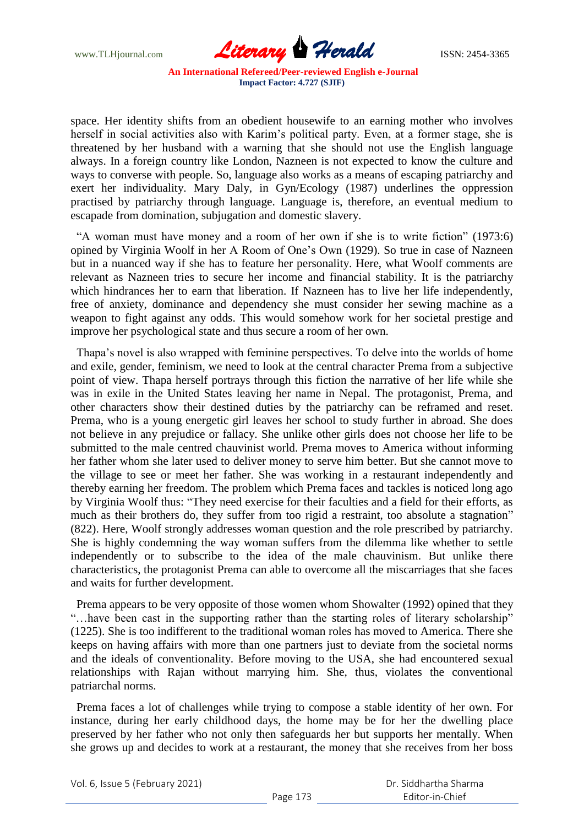

space. Her identity shifts from an obedient housewife to an earning mother who involves herself in social activities also with Karim"s political party. Even, at a former stage, she is threatened by her husband with a warning that she should not use the English language always. In a foreign country like London, Nazneen is not expected to know the culture and ways to converse with people. So, language also works as a means of escaping patriarchy and exert her individuality. Mary Daly, in Gyn/Ecology (1987) underlines the oppression practised by patriarchy through language. Language is, therefore, an eventual medium to escapade from domination, subjugation and domestic slavery.

 "A woman must have money and a room of her own if she is to write fiction" (1973:6) opined by Virginia Woolf in her A Room of One"s Own (1929). So true in case of Nazneen but in a nuanced way if she has to feature her personality. Here, what Woolf comments are relevant as Nazneen tries to secure her income and financial stability. It is the patriarchy which hindrances her to earn that liberation. If Nazneen has to live her life independently, free of anxiety, dominance and dependency she must consider her sewing machine as a weapon to fight against any odds. This would somehow work for her societal prestige and improve her psychological state and thus secure a room of her own.

 Thapa"s novel is also wrapped with feminine perspectives. To delve into the worlds of home and exile, gender, feminism, we need to look at the central character Prema from a subjective point of view. Thapa herself portrays through this fiction the narrative of her life while she was in exile in the United States leaving her name in Nepal. The protagonist, Prema, and other characters show their destined duties by the patriarchy can be reframed and reset. Prema, who is a young energetic girl leaves her school to study further in abroad. She does not believe in any prejudice or fallacy. She unlike other girls does not choose her life to be submitted to the male centred chauvinist world. Prema moves to America without informing her father whom she later used to deliver money to serve him better. But she cannot move to the village to see or meet her father. She was working in a restaurant independently and thereby earning her freedom. The problem which Prema faces and tackles is noticed long ago by Virginia Woolf thus: "They need exercise for their faculties and a field for their efforts, as much as their brothers do, they suffer from too rigid a restraint, too absolute a stagnation" (822). Here, Woolf strongly addresses woman question and the role prescribed by patriarchy. She is highly condemning the way woman suffers from the dilemma like whether to settle independently or to subscribe to the idea of the male chauvinism. But unlike there characteristics, the protagonist Prema can able to overcome all the miscarriages that she faces and waits for further development.

 Prema appears to be very opposite of those women whom Showalter (1992) opined that they "…have been cast in the supporting rather than the starting roles of literary scholarship" (1225). She is too indifferent to the traditional woman roles has moved to America. There she keeps on having affairs with more than one partners just to deviate from the societal norms and the ideals of conventionality. Before moving to the USA, she had encountered sexual relationships with Rajan without marrying him. She, thus, violates the conventional patriarchal norms.

 Prema faces a lot of challenges while trying to compose a stable identity of her own. For instance, during her early childhood days, the home may be for her the dwelling place preserved by her father who not only then safeguards her but supports her mentally. When she grows up and decides to work at a restaurant, the money that she receives from her boss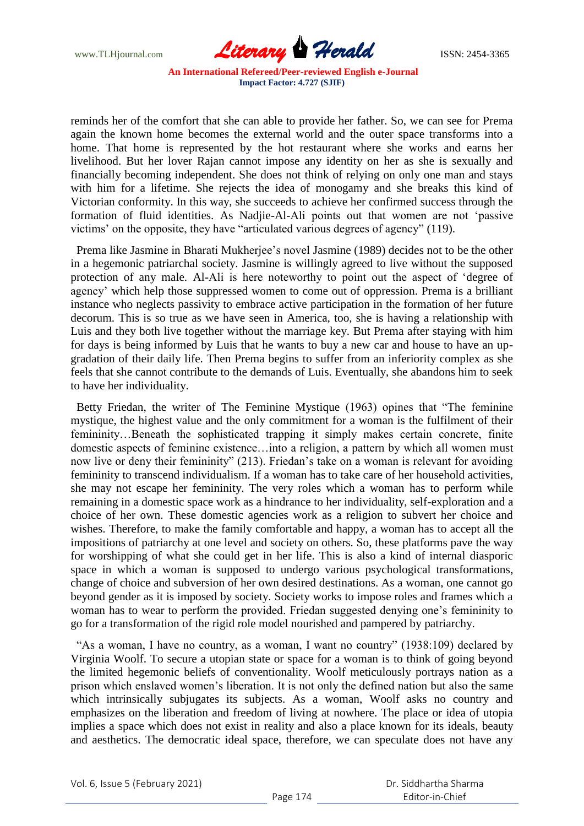

reminds her of the comfort that she can able to provide her father. So, we can see for Prema again the known home becomes the external world and the outer space transforms into a home. That home is represented by the hot restaurant where she works and earns her livelihood. But her lover Rajan cannot impose any identity on her as she is sexually and financially becoming independent. She does not think of relying on only one man and stays with him for a lifetime. She rejects the idea of monogamy and she breaks this kind of Victorian conformity. In this way, she succeeds to achieve her confirmed success through the formation of fluid identities. As Nadjie-Al-Ali points out that women are not "passive victims" on the opposite, they have "articulated various degrees of agency" (119).

Prema like Jasmine in Bharati Mukherjee's novel Jasmine (1989) decides not to be the other in a hegemonic patriarchal society. Jasmine is willingly agreed to live without the supposed protection of any male. Al-Ali is here noteworthy to point out the aspect of "degree of agency" which help those suppressed women to come out of oppression. Prema is a brilliant instance who neglects passivity to embrace active participation in the formation of her future decorum. This is so true as we have seen in America, too, she is having a relationship with Luis and they both live together without the marriage key. But Prema after staying with him for days is being informed by Luis that he wants to buy a new car and house to have an upgradation of their daily life. Then Prema begins to suffer from an inferiority complex as she feels that she cannot contribute to the demands of Luis. Eventually, she abandons him to seek to have her individuality.

 Betty Friedan, the writer of The Feminine Mystique (1963) opines that "The feminine mystique, the highest value and the only commitment for a woman is the fulfilment of their femininity…Beneath the sophisticated trapping it simply makes certain concrete, finite domestic aspects of feminine existence…into a religion, a pattern by which all women must now live or deny their femininity" (213). Friedan's take on a woman is relevant for avoiding femininity to transcend individualism. If a woman has to take care of her household activities, she may not escape her femininity. The very roles which a woman has to perform while remaining in a domestic space work as a hindrance to her individuality, self-exploration and a choice of her own. These domestic agencies work as a religion to subvert her choice and wishes. Therefore, to make the family comfortable and happy, a woman has to accept all the impositions of patriarchy at one level and society on others. So, these platforms pave the way for worshipping of what she could get in her life. This is also a kind of internal diasporic space in which a woman is supposed to undergo various psychological transformations, change of choice and subversion of her own desired destinations. As a woman, one cannot go beyond gender as it is imposed by society. Society works to impose roles and frames which a woman has to wear to perform the provided. Friedan suggested denying one"s femininity to go for a transformation of the rigid role model nourished and pampered by patriarchy.

 "As a woman, I have no country, as a woman, I want no country" (1938:109) declared by Virginia Woolf. To secure a utopian state or space for a woman is to think of going beyond the limited hegemonic beliefs of conventionality. Woolf meticulously portrays nation as a prison which enslaved women"s liberation. It is not only the defined nation but also the same which intrinsically subjugates its subjects. As a woman, Woolf asks no country and emphasizes on the liberation and freedom of living at nowhere. The place or idea of utopia implies a space which does not exist in reality and also a place known for its ideals, beauty and aesthetics. The democratic ideal space, therefore, we can speculate does not have any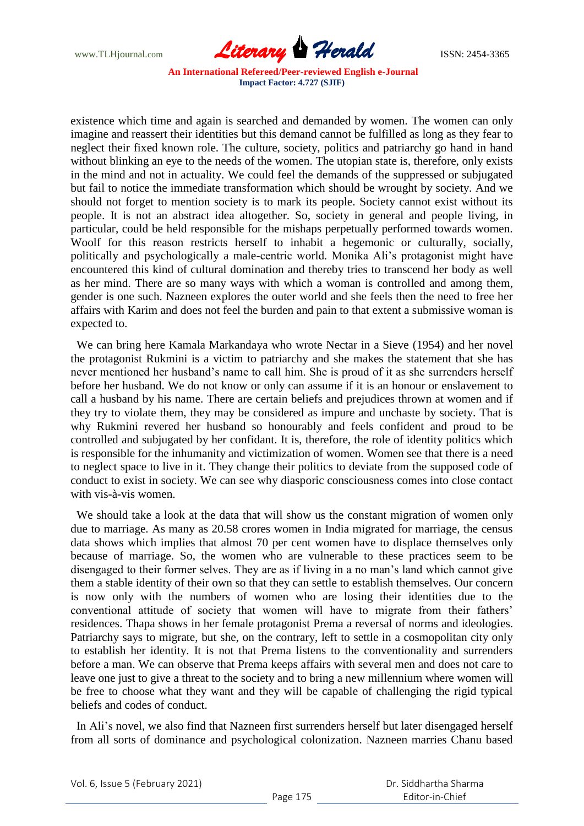

existence which time and again is searched and demanded by women. The women can only imagine and reassert their identities but this demand cannot be fulfilled as long as they fear to neglect their fixed known role. The culture, society, politics and patriarchy go hand in hand without blinking an eye to the needs of the women. The utopian state is, therefore, only exists in the mind and not in actuality. We could feel the demands of the suppressed or subjugated but fail to notice the immediate transformation which should be wrought by society. And we should not forget to mention society is to mark its people. Society cannot exist without its people. It is not an abstract idea altogether. So, society in general and people living, in particular, could be held responsible for the mishaps perpetually performed towards women. Woolf for this reason restricts herself to inhabit a hegemonic or culturally, socially, politically and psychologically a male-centric world. Monika Ali"s protagonist might have encountered this kind of cultural domination and thereby tries to transcend her body as well as her mind. There are so many ways with which a woman is controlled and among them, gender is one such. Nazneen explores the outer world and she feels then the need to free her affairs with Karim and does not feel the burden and pain to that extent a submissive woman is expected to.

 We can bring here Kamala Markandaya who wrote Nectar in a Sieve (1954) and her novel the protagonist Rukmini is a victim to patriarchy and she makes the statement that she has never mentioned her husband"s name to call him. She is proud of it as she surrenders herself before her husband. We do not know or only can assume if it is an honour or enslavement to call a husband by his name. There are certain beliefs and prejudices thrown at women and if they try to violate them, they may be considered as impure and unchaste by society. That is why Rukmini revered her husband so honourably and feels confident and proud to be controlled and subjugated by her confidant. It is, therefore, the role of identity politics which is responsible for the inhumanity and victimization of women. Women see that there is a need to neglect space to live in it. They change their politics to deviate from the supposed code of conduct to exist in society. We can see why diasporic consciousness comes into close contact with vis-à-vis women.

 We should take a look at the data that will show us the constant migration of women only due to marriage. As many as 20.58 crores women in India migrated for marriage, the census data shows which implies that almost 70 per cent women have to displace themselves only because of marriage. So, the women who are vulnerable to these practices seem to be disengaged to their former selves. They are as if living in a no man"s land which cannot give them a stable identity of their own so that they can settle to establish themselves. Our concern is now only with the numbers of women who are losing their identities due to the conventional attitude of society that women will have to migrate from their fathers" residences. Thapa shows in her female protagonist Prema a reversal of norms and ideologies. Patriarchy says to migrate, but she, on the contrary, left to settle in a cosmopolitan city only to establish her identity. It is not that Prema listens to the conventionality and surrenders before a man. We can observe that Prema keeps affairs with several men and does not care to leave one just to give a threat to the society and to bring a new millennium where women will be free to choose what they want and they will be capable of challenging the rigid typical beliefs and codes of conduct.

 In Ali"s novel, we also find that Nazneen first surrenders herself but later disengaged herself from all sorts of dominance and psychological colonization. Nazneen marries Chanu based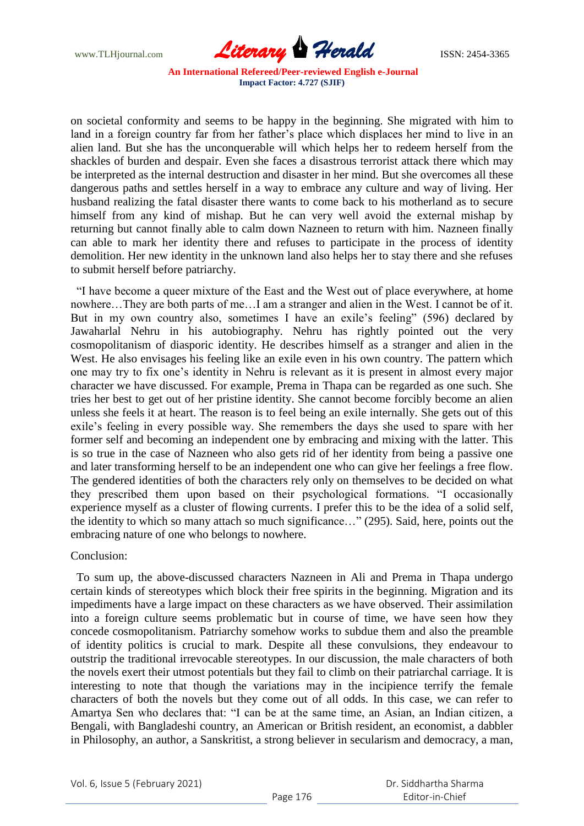

on societal conformity and seems to be happy in the beginning. She migrated with him to land in a foreign country far from her father's place which displaces her mind to live in an alien land. But she has the unconquerable will which helps her to redeem herself from the shackles of burden and despair. Even she faces a disastrous terrorist attack there which may be interpreted as the internal destruction and disaster in her mind. But she overcomes all these dangerous paths and settles herself in a way to embrace any culture and way of living. Her husband realizing the fatal disaster there wants to come back to his motherland as to secure himself from any kind of mishap. But he can very well avoid the external mishap by returning but cannot finally able to calm down Nazneen to return with him. Nazneen finally can able to mark her identity there and refuses to participate in the process of identity demolition. Her new identity in the unknown land also helps her to stay there and she refuses to submit herself before patriarchy.

 "I have become a queer mixture of the East and the West out of place everywhere, at home nowhere…They are both parts of me…I am a stranger and alien in the West. I cannot be of it. But in my own country also, sometimes I have an exile's feeling" (596) declared by Jawaharlal Nehru in his autobiography. Nehru has rightly pointed out the very cosmopolitanism of diasporic identity. He describes himself as a stranger and alien in the West. He also envisages his feeling like an exile even in his own country. The pattern which one may try to fix one"s identity in Nehru is relevant as it is present in almost every major character we have discussed. For example, Prema in Thapa can be regarded as one such. She tries her best to get out of her pristine identity. She cannot become forcibly become an alien unless she feels it at heart. The reason is to feel being an exile internally. She gets out of this exile"s feeling in every possible way. She remembers the days she used to spare with her former self and becoming an independent one by embracing and mixing with the latter. This is so true in the case of Nazneen who also gets rid of her identity from being a passive one and later transforming herself to be an independent one who can give her feelings a free flow. The gendered identities of both the characters rely only on themselves to be decided on what they prescribed them upon based on their psychological formations. "I occasionally experience myself as a cluster of flowing currents. I prefer this to be the idea of a solid self, the identity to which so many attach so much significance…" (295). Said, here, points out the embracing nature of one who belongs to nowhere.

Conclusion:

 To sum up, the above-discussed characters Nazneen in Ali and Prema in Thapa undergo certain kinds of stereotypes which block their free spirits in the beginning. Migration and its impediments have a large impact on these characters as we have observed. Their assimilation into a foreign culture seems problematic but in course of time, we have seen how they concede cosmopolitanism. Patriarchy somehow works to subdue them and also the preamble of identity politics is crucial to mark. Despite all these convulsions, they endeavour to outstrip the traditional irrevocable stereotypes. In our discussion, the male characters of both the novels exert their utmost potentials but they fail to climb on their patriarchal carriage. It is interesting to note that though the variations may in the incipience terrify the female characters of both the novels but they come out of all odds. In this case, we can refer to Amartya Sen who declares that: "I can be at the same time, an Asian, an Indian citizen, a Bengali, with Bangladeshi country, an American or British resident, an economist, a dabbler in Philosophy, an author, a Sanskritist, a strong believer in secularism and democracy, a man,